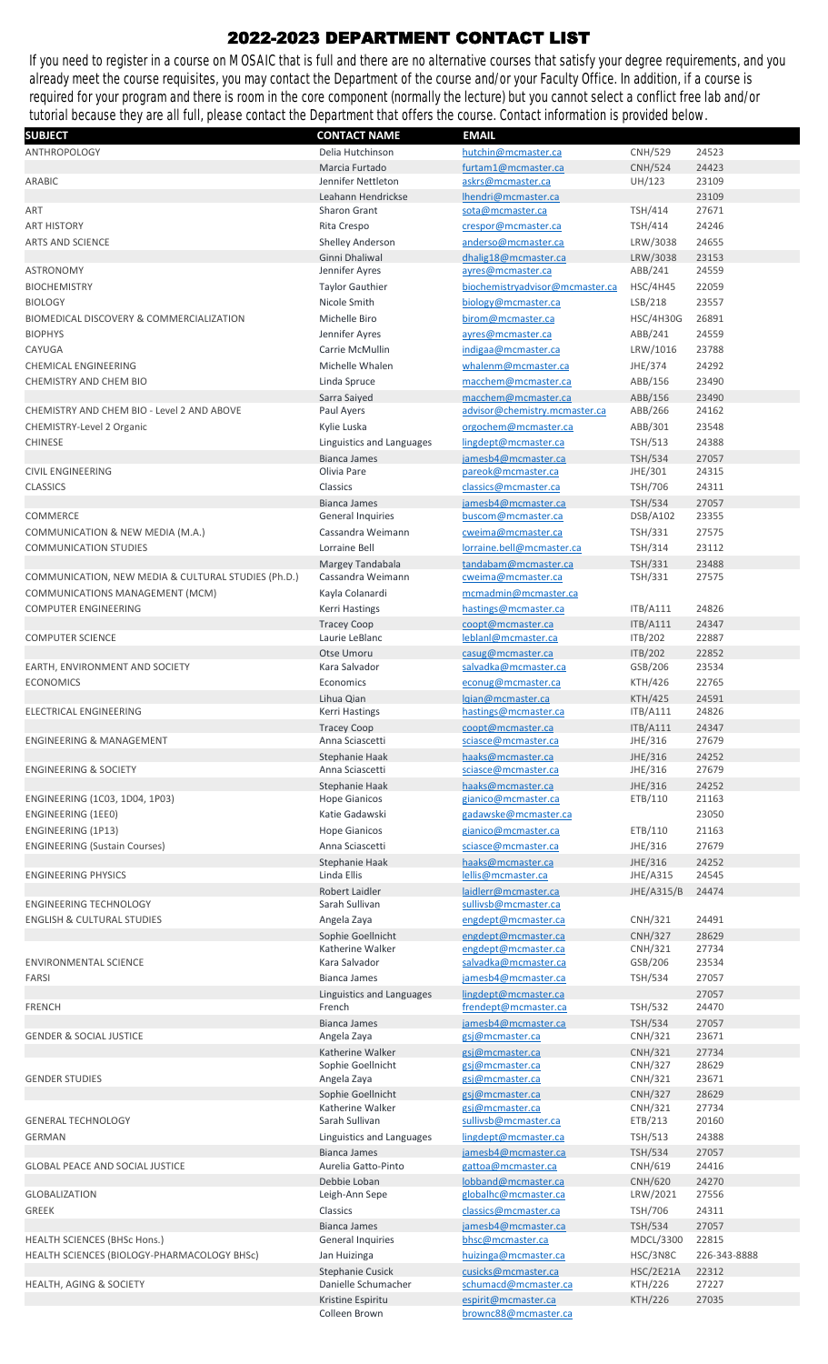## 2022-2023 DEPARTMENT CONTACT LIST

If you need to register in a course on MOSAIC that is full and there are no alternative courses that satisfy your degree requirements, and you already meet the course requisites, you may contact the Department of the course and/or your Faculty Office. In addition, if a course is required for your program and there is room in the core component (normally the lecture) but you cannot select a conflict free lab and/or tutorial because they are all full, please contact the Department that offers the course. Contact information is provided below.

| <b>SUBJECT</b>                                      | <b>CONTACT NAME</b>       | <b>EMAIL</b>                    |                  |              |
|-----------------------------------------------------|---------------------------|---------------------------------|------------------|--------------|
| ANTHROPOLOGY                                        | Delia Hutchinson          | hutchin@mcmaster.ca             | <b>CNH/529</b>   | 24523        |
|                                                     | Marcia Furtado            | furtam1@mcmaster.ca             | <b>CNH/524</b>   | 24423        |
| ARABIC                                              | Jennifer Nettleton        | askrs@mcmaster.ca               | UH/123           | 23109        |
|                                                     |                           |                                 |                  |              |
|                                                     | Leahann Hendrickse        | lhendri@mcmaster.ca             |                  | 23109        |
| ART                                                 | <b>Sharon Grant</b>       | sota@mcmaster.ca                | <b>TSH/414</b>   | 27671        |
| <b>ART HISTORY</b>                                  | Rita Crespo               | crespor@mcmaster.ca             | TSH/414          | 24246        |
| <b>ARTS AND SCIENCE</b>                             | <b>Shelley Anderson</b>   | anderso@mcmaster.ca             | LRW/3038         | 24655        |
|                                                     | Ginni Dhaliwal            | dhalig18@mcmaster.ca            | LRW/3038         | 23153        |
| <b>ASTRONOMY</b>                                    | Jennifer Ayres            | ayres@mcmaster.ca               | ABB/241          | 24559        |
|                                                     |                           |                                 |                  |              |
| <b>BIOCHEMISTRY</b>                                 | <b>Taylor Gauthier</b>    | biochemistryadvisor@mcmaster.ca | <b>HSC/4H45</b>  | 22059        |
| <b>BIOLOGY</b>                                      | Nicole Smith              | biology@mcmaster.ca             | LSB/218          | 23557        |
| BIOMEDICAL DISCOVERY & COMMERCIALIZATION            | Michelle Biro             | birom@mcmaster.ca               | <b>HSC/4H30G</b> | 26891        |
| <b>BIOPHYS</b>                                      | Jennifer Ayres            | ayres@mcmaster.ca               | ABB/241          | 24559        |
|                                                     |                           |                                 |                  |              |
| CAYUGA                                              | Carrie McMullin           | indigaa@mcmaster.ca             | LRW/1016         | 23788        |
| <b>CHEMICAL ENGINEERING</b>                         | Michelle Whalen           | whalenm@mcmaster.ca             | JHE/374          | 24292        |
| CHEMISTRY AND CHEM BIO                              | Linda Spruce              | macchem@mcmaster.ca             | ABB/156          | 23490        |
|                                                     | Sarra Saiyed              | macchem@mcmaster.ca             | ABB/156          | 23490        |
| CHEMISTRY AND CHEM BIO - Level 2 AND ABOVE          | Paul Ayers                | advisor@chemistry.mcmaster.ca   | ABB/266          | 24162        |
|                                                     |                           |                                 |                  |              |
| CHEMISTRY-Level 2 Organic                           | Kylie Luska               | orgochem@mcmaster.ca            | ABB/301          | 23548        |
| <b>CHINESE</b>                                      | Linguistics and Languages | lingdept@mcmaster.ca            | <b>TSH/513</b>   | 24388        |
|                                                     | <b>Bianca James</b>       | jamesb4@mcmaster.ca             | <b>TSH/534</b>   | 27057        |
| CIVIL ENGINEERING                                   | Olivia Pare               | pareok@mcmaster.ca              | JHE/301          | 24315        |
| <b>CLASSICS</b>                                     | Classics                  | classics@mcmaster.ca            | TSH/706          | 24311        |
|                                                     |                           |                                 |                  |              |
|                                                     | <b>Bianca James</b>       | jamesb4@mcmaster.ca             | <b>TSH/534</b>   | 27057        |
| <b>COMMERCE</b>                                     | <b>General Inquiries</b>  | buscom@mcmaster.ca              | DSB/A102         | 23355        |
| COMMUNICATION & NEW MEDIA (M.A.)                    | Cassandra Weimann         | cweima@mcmaster.ca              | <b>TSH/331</b>   | 27575        |
| <b>COMMUNICATION STUDIES</b>                        | Lorraine Bell             | lorraine.bell@mcmaster.ca       | <b>TSH/314</b>   | 23112        |
|                                                     | Margey Tandabala          | tandabam@mcmaster.ca            | <b>TSH/331</b>   | 23488        |
| COMMUNICATION, NEW MEDIA & CULTURAL STUDIES (Ph.D.) | Cassandra Weimann         | cweima@mcmaster.ca              | TSH/331          | 27575        |
|                                                     |                           |                                 |                  |              |
| COMMUNICATIONS MANAGEMENT (MCM)                     | Kayla Colanardi           | mcmadmin@mcmaster.ca            |                  |              |
| <b>COMPUTER ENGINEERING</b>                         | <b>Kerri Hastings</b>     | hastings@mcmaster.ca            | <b>ITB/A111</b>  | 24826        |
|                                                     | <b>Tracey Coop</b>        | coopt@mcmaster.ca               | <b>ITB/A111</b>  | 24347        |
| <b>COMPUTER SCIENCE</b>                             | Laurie LeBlanc            | leblanl@mcmaster.ca             | ITB/202          | 22887        |
|                                                     | Otse Umoru                | casug@mcmaster.ca               | ITB/202          | 22852        |
| EARTH, ENVIRONMENT AND SOCIETY                      | Kara Salvador             | salvadka@mcmaster.ca            | GSB/206          | 23534        |
|                                                     |                           |                                 |                  |              |
| <b>ECONOMICS</b>                                    | Economics                 | econug@mcmaster.ca              | KTH/426          | 22765        |
|                                                     | Lihua Qian                | lgian@mcmaster.ca               | <b>KTH/425</b>   | 24591        |
| <b>ELECTRICAL ENGINEERING</b>                       | Kerri Hastings            | hastings@mcmaster.ca            | <b>ITB/A111</b>  | 24826        |
|                                                     | <b>Tracey Coop</b>        | coopt@mcmaster.ca               | <b>ITB/A111</b>  | 24347        |
| ENGINEERING & MANAGEMENT                            | Anna Sciascetti           | sciasce@mcmaster.ca             | JHE/316          | 27679        |
|                                                     | <b>Stephanie Haak</b>     | haaks@mcmaster.ca               | JHE/316          | 24252        |
| <b>ENGINEERING &amp; SOCIETY</b>                    | Anna Sciascetti           | sciasce@mcmaster.ca             | JHE/316          | 27679        |
|                                                     |                           |                                 |                  |              |
|                                                     | Stephanie Haak            | haaks@mcmaster.ca               | JHE/316          | 24252        |
| ENGINEERING (1C03, 1D04, 1P03)                      | <b>Hope Gianicos</b>      | gianico@mcmaster.ca             | ETB/110          | 21163        |
| ENGINEERING (1EE0)                                  | Katie Gadawski            | gadawske@mcmaster.ca            |                  | 23050        |
| ENGINEERING (1P13)                                  | <b>Hope Gianicos</b>      | gianico@mcmaster.ca             | ETB/110          | 21163        |
| <b>ENGINEERING (Sustain Courses)</b>                | Anna Sciascetti           | sciasce@mcmaster.ca             | JHE/316          | 27679        |
|                                                     |                           |                                 |                  |              |
|                                                     | Stephanie Haak            | haaks@mcmaster.ca               | JHE/316          | 24252        |
| <b>ENGINEERING PHYSICS</b>                          | Linda Ellis               | lellis@mcmaster.ca              | JHE/A315         | 24545        |
|                                                     | Robert Laidler            | laidlerr@mcmaster.ca            | JHE/A315/B       | 24474        |
| <b>ENGINEERING TECHNOLOGY</b>                       | Sarah Sullivan            | sullivsb@mcmaster.ca            |                  |              |
| <b>ENGLISH &amp; CULTURAL STUDIES</b>               | Angela Zaya               | engdept@mcmaster.ca             | CNH/321          | 24491        |
|                                                     | Sophie Goellnicht         | engdept@mcmaster.ca             | <b>CNH/327</b>   | 28629        |
|                                                     | Katherine Walker          | engdept@mcmaster.ca             | CNH/321          | 27734        |
|                                                     |                           |                                 |                  |              |
| <b>ENVIRONMENTAL SCIENCE</b>                        | Kara Salvador             | salvadka@mcmaster.ca            | GSB/206          | 23534        |
| <b>FARSI</b>                                        | <b>Bianca James</b>       | jamesb4@mcmaster.ca             | <b>TSH/534</b>   | 27057        |
|                                                     | Linguistics and Languages | lingdept@mcmaster.ca            |                  | 27057        |
| <b>FRENCH</b>                                       | French                    | frendept@mcmaster.ca            | <b>TSH/532</b>   | 24470        |
|                                                     | <b>Bianca James</b>       | jamesb4@mcmaster.ca             | <b>TSH/534</b>   | 27057        |
| <b>GENDER &amp; SOCIAL JUSTICE</b>                  | Angela Zaya               | <u>gsj@mcmaster.ca</u>          | CNH/321          | 23671        |
|                                                     |                           |                                 |                  |              |
|                                                     | Katherine Walker          | gsj@mcmaster.ca                 | CNH/321          | 27734        |
|                                                     | Sophie Goellnicht         | gsj@mcmaster.ca                 | CNH/327          | 28629        |
| <b>GENDER STUDIES</b>                               | Angela Zaya               | gsj@mcmaster.ca                 | CNH/321          | 23671        |
|                                                     | Sophie Goellnicht         | gsj@mcmaster.ca                 | <b>CNH/327</b>   | 28629        |
|                                                     | Katherine Walker          | gsj@mcmaster.ca                 | CNH/321          | 27734        |
| <b>GENERAL TECHNOLOGY</b>                           | Sarah Sullivan            | sullivsb@mcmaster.ca            | ETB/213          | 20160        |
| <b>GERMAN</b>                                       | Linguistics and Languages | lingdept@mcmaster.ca            | <b>TSH/513</b>   | 24388        |
|                                                     | <b>Bianca James</b>       | jamesb4@mcmaster.ca             | <b>TSH/534</b>   | 27057        |
| <b>GLOBAL PEACE AND SOCIAL JUSTICE</b>              | Aurelia Gatto-Pinto       | gattoa@mcmaster.ca              | CNH/619          | 24416        |
|                                                     |                           |                                 |                  |              |
|                                                     | Debbie Loban              | lobband@mcmaster.ca             | <b>CNH/620</b>   | 24270        |
| <b>GLOBALIZATION</b>                                | Leigh-Ann Sepe            | globalhc@mcmaster.ca            | LRW/2021         | 27556        |
| <b>GREEK</b>                                        | Classics                  | classics@mcmaster.ca            | TSH/706          | 24311        |
|                                                     | <b>Bianca James</b>       | jamesb4@mcmaster.ca             | <b>TSH/534</b>   | 27057        |
| <b>HEALTH SCIENCES (BHSc Hons.)</b>                 | <b>General Inquiries</b>  | bhsc@mcmaster.ca                | MDCL/3300        | 22815        |
|                                                     |                           | huizinga@mcmaster.ca            |                  | 226-343-8888 |
| HEALTH SCIENCES (BIOLOGY-PHARMACOLOGY BHSc)         | Jan Huizinga              |                                 | HSC/3N8C         |              |
|                                                     | <b>Stephanie Cusick</b>   | cusicks@mcmaster.ca             | <b>HSC/2E21A</b> | 22312        |
| <b>HEALTH, AGING &amp; SOCIETY</b>                  | Danielle Schumacher       | schumacd@mcmaster.ca            | <b>KTH/226</b>   | 27227        |
|                                                     | Kristine Espiritu         | espirit@mcmaster.ca             | <b>KTH/226</b>   | 27035        |
|                                                     | Colleen Brown             | brownc88@mcmaster.ca            |                  |              |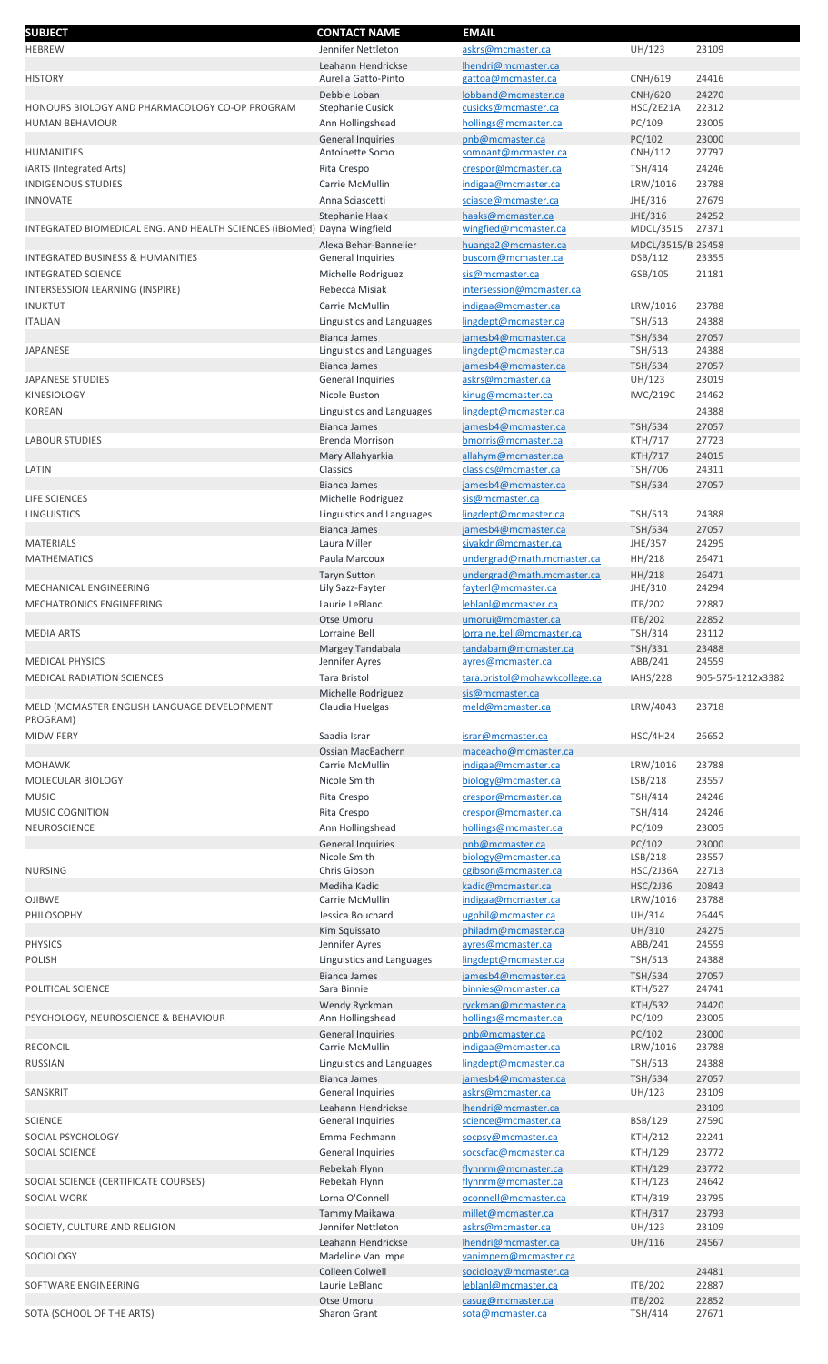| <b>SUBJECT</b>                                                           | <b>CONTACT NAME</b>       | <b>EMAIL</b>                  |                   |                   |
|--------------------------------------------------------------------------|---------------------------|-------------------------------|-------------------|-------------------|
| <b>HEBREW</b>                                                            | Jennifer Nettleton        | askrs@mcmaster.ca             | UH/123            | 23109             |
|                                                                          |                           |                               |                   |                   |
|                                                                          | Leahann Hendrickse        | lhendri@mcmaster.ca           |                   |                   |
| <b>HISTORY</b>                                                           | Aurelia Gatto-Pinto       | gattoa@mcmaster.ca            | CNH/619           | 24416             |
|                                                                          | Debbie Loban              | lobband@mcmaster.ca           | <b>CNH/620</b>    | 24270             |
| HONOURS BIOLOGY AND PHARMACOLOGY CO-OP PROGRAM                           | <b>Stephanie Cusick</b>   | cusicks@mcmaster.ca           | HSC/2E21A         | 22312             |
| <b>HUMAN BEHAVIOUR</b>                                                   |                           | hollings@mcmaster.ca          | PC/109            | 23005             |
|                                                                          | Ann Hollingshead          |                               |                   |                   |
|                                                                          | <b>General Inquiries</b>  | pnb@mcmaster.ca               | PC/102            | 23000             |
| HUMANITIES                                                               | Antoinette Somo           | somoant@mcmaster.ca           | CNH/112           | 27797             |
| iARTS (Integrated Arts)                                                  | Rita Crespo               | crespor@mcmaster.ca           | TSH/414           | 24246             |
| <b>INDIGENOUS STUDIES</b>                                                | Carrie McMullin           | indigaa@mcmaster.ca           |                   | 23788             |
|                                                                          |                           |                               | LRW/1016          |                   |
| <b>INNOVATE</b>                                                          | Anna Sciascetti           | sciasce@mcmaster.ca           | JHE/316           | 27679             |
|                                                                          | Stephanie Haak            | haaks@mcmaster.ca             | JHE/316           | 24252             |
| INTEGRATED BIOMEDICAL ENG. AND HEALTH SCIENCES (iBioMed) Dayna Wingfield |                           | wingfied@mcmaster.ca          | MDCL/3515         | 27371             |
|                                                                          |                           |                               |                   |                   |
|                                                                          | Alexa Behar-Bannelier     | huanga2@mcmaster.ca           | MDCL/3515/B 25458 |                   |
| <b>INTEGRATED BUSINESS &amp; HUMANITIES</b>                              | <b>General Inquiries</b>  | buscom@mcmaster.ca            | DSB/112           | 23355             |
| <b>INTEGRATED SCIENCE</b>                                                | Michelle Rodriguez        | sis@mcmaster.ca               | GSB/105           | 21181             |
| INTERSESSION LEARNING (INSPIRE)                                          | Rebecca Misiak            | intersession@mcmaster.ca      |                   |                   |
|                                                                          |                           |                               |                   |                   |
| <b>INUKTUT</b>                                                           | Carrie McMullin           | indigaa@mcmaster.ca           | LRW/1016          | 23788             |
| <b>ITALIAN</b>                                                           | Linguistics and Languages | lingdept@mcmaster.ca          | <b>TSH/513</b>    | 24388             |
|                                                                          | <b>Bianca James</b>       | jamesb4@mcmaster.ca           | <b>TSH/534</b>    | 27057             |
| <b>JAPANESE</b>                                                          |                           |                               | <b>TSH/513</b>    | 24388             |
|                                                                          | Linguistics and Languages | lingdept@mcmaster.ca          |                   |                   |
|                                                                          | <b>Bianca James</b>       | jamesb4@mcmaster.ca           | <b>TSH/534</b>    | 27057             |
| <b>JAPANESE STUDIES</b>                                                  | <b>General Inquiries</b>  | askrs@mcmaster.ca             | UH/123            | 23019             |
| KINESIOLOGY                                                              | Nicole Buston             | kinug@mcmaster.ca             | <b>IWC/219C</b>   | 24462             |
|                                                                          |                           |                               |                   |                   |
| <b>KOREAN</b>                                                            | Linguistics and Languages | lingdept@mcmaster.ca          |                   | 24388             |
|                                                                          | <b>Bianca James</b>       | jamesb4@mcmaster.ca           | <b>TSH/534</b>    | 27057             |
| <b>LABOUR STUDIES</b>                                                    | <b>Brenda Morrison</b>    | bmorris@mcmaster.ca           | KTH/717           | 27723             |
|                                                                          | Mary Allahyarkia          | allahym@mcmaster.ca           | <b>KTH/717</b>    | 24015             |
| LATIN                                                                    | Classics                  | classics@mcmaster.ca          | TSH/706           | 24311             |
|                                                                          |                           |                               |                   |                   |
|                                                                          | <b>Bianca James</b>       | jamesb4@mcmaster.ca           | <b>TSH/534</b>    | 27057             |
| LIFE SCIENCES                                                            | Michelle Rodriguez        | sis@mcmaster.ca               |                   |                   |
| <b>LINGUISTICS</b>                                                       | Linguistics and Languages | lingdept@mcmaster.ca          | <b>TSH/513</b>    | 24388             |
|                                                                          |                           |                               |                   |                   |
|                                                                          | <b>Bianca James</b>       | jamesb4@mcmaster.ca           | <b>TSH/534</b>    | 27057             |
| <b>MATERIALS</b>                                                         | Laura Miller              | sivakdn@mcmaster.ca           | JHE/357           | 24295             |
| <b>MATHEMATICS</b>                                                       | Paula Marcoux             | undergrad@math.mcmaster.ca    | HH/218            | 26471             |
|                                                                          | <b>Taryn Sutton</b>       | undergrad@math.mcmaster.ca    | HH/218            | 26471             |
|                                                                          |                           |                               |                   |                   |
| MECHANICAL ENGINEERING                                                   | Lily Sazz-Fayter          | fayterl@mcmaster.ca           | JHE/310           | 24294             |
| MECHATRONICS ENGINEERING                                                 | Laurie LeBlanc            | leblanl@mcmaster.ca           | ITB/202           | 22887             |
|                                                                          | Otse Umoru                | umorui@mcmaster.ca            | ITB/202           | 22852             |
| <b>MEDIA ARTS</b>                                                        | Lorraine Bell             | lorraine.bell@mcmaster.ca     | <b>TSH/314</b>    | 23112             |
|                                                                          |                           |                               |                   |                   |
|                                                                          | Margey Tandabala          | tandabam@mcmaster.ca          | TSH/331           | 23488             |
| <b>MEDICAL PHYSICS</b>                                                   | Jennifer Ayres            | ayres@mcmaster.ca             | ABB/241           | 24559             |
| <b>MEDICAL RADIATION SCIENCES</b>                                        | <b>Tara Bristol</b>       | tara.bristol@mohawkcollege.ca | <b>IAHS/228</b>   | 905-575-1212x3382 |
|                                                                          | Michelle Rodriguez        | sis@mcmaster.ca               |                   |                   |
|                                                                          |                           |                               |                   |                   |
| MELD (MCMASTER ENGLISH LANGUAGE DEVELOPMENT                              | Claudia Huelgas           | meld@mcmaster.ca              | LRW/4043          | 23718             |
| PROGRAM)                                                                 |                           |                               |                   |                   |
| <b>MIDWIFERY</b>                                                         | Saadia Israr              | israr@mcmaster.ca             | <b>HSC/4H24</b>   | 26652             |
|                                                                          | Ossian MacEachern         | maceacho@mcmaster.ca          |                   |                   |
| <b>MOHAWK</b>                                                            | Carrie McMullin           | indigaa@mcmaster.ca           | LRW/1016          | 23788             |
|                                                                          |                           |                               |                   |                   |
| MOLECULAR BIOLOGY                                                        | Nicole Smith              | biology@mcmaster.ca           | LSB/218           | 23557             |
| <b>MUSIC</b>                                                             | Rita Crespo               | crespor@mcmaster.ca           | <b>TSH/414</b>    | 24246             |
| MUSIC COGNITION                                                          | Rita Crespo               | crespor@mcmaster.ca           | <b>TSH/414</b>    | 24246             |
|                                                                          |                           |                               |                   |                   |
| <b>NEUROSCIENCE</b>                                                      | Ann Hollingshead          | hollings@mcmaster.ca          | PC/109            | 23005             |
|                                                                          | <b>General Inquiries</b>  | pnb@mcmaster.ca               | PC/102            | 23000             |
|                                                                          | Nicole Smith              | biology@mcmaster.ca           | LSB/218           | 23557             |
| <b>NURSING</b>                                                           | Chris Gibson              | cgibson@mcmaster.ca           | <b>HSC/2J36A</b>  | 22713             |
|                                                                          |                           |                               |                   |                   |
|                                                                          | Mediha Kadic              | kadic@mcmaster.ca             | HSC/2J36          | 20843             |
| <b>OJIBWE</b>                                                            | Carrie McMullin           | indigaa@mcmaster.ca           | LRW/1016          | 23788             |
| PHILOSOPHY                                                               | Jessica Bouchard          | ugphil@mcmaster.ca            | UH/314            | 26445             |
|                                                                          | Kim Squissato             | philadm@mcmaster.ca           | UH/310            | 24275             |
| <b>PHYSICS</b>                                                           | Jennifer Ayres            | ayres@mcmaster.ca             | ABB/241           | 24559             |
|                                                                          |                           |                               |                   |                   |
| <b>POLISH</b>                                                            | Linguistics and Languages | lingdept@mcmaster.ca          | <b>TSH/513</b>    | 24388             |
|                                                                          | <b>Bianca James</b>       | jamesb4@mcmaster.ca           | <b>TSH/534</b>    | 27057             |
| POLITICAL SCIENCE                                                        | Sara Binnie               | binnies@mcmaster.ca           | <b>KTH/527</b>    | 24741             |
|                                                                          | Wendy Ryckman             | ryckman@mcmaster.ca           | <b>KTH/532</b>    | 24420             |
| PSYCHOLOGY, NEUROSCIENCE & BEHAVIOUR                                     | Ann Hollingshead          | hollings@mcmaster.ca          | PC/109            | 23005             |
|                                                                          |                           |                               |                   |                   |
|                                                                          | <b>General Inquiries</b>  | pnb@mcmaster.ca               | PC/102            | 23000             |
| <b>RECONCIL</b>                                                          | Carrie McMullin           | indigaa@mcmaster.ca           | LRW/1016          | 23788             |
| <b>RUSSIAN</b>                                                           | Linguistics and Languages | lingdept@mcmaster.ca          | <b>TSH/513</b>    | 24388             |
|                                                                          | <b>Bianca James</b>       | jamesb4@mcmaster.ca           | <b>TSH/534</b>    | 27057             |
|                                                                          |                           |                               |                   |                   |
| SANSKRIT                                                                 | <b>General Inquiries</b>  | askrs@mcmaster.ca             | UH/123            | 23109             |
|                                                                          | Leahann Hendrickse        | Ihendri@mcmaster.ca           |                   | 23109             |
| <b>SCIENCE</b>                                                           | <b>General Inquiries</b>  | science@mcmaster.ca           | BSB/129           | 27590             |
| SOCIAL PSYCHOLOGY                                                        | Emma Pechmann             | socpsy@mcmaster.ca            | <b>KTH/212</b>    | 22241             |
|                                                                          |                           |                               |                   |                   |
| SOCIAL SCIENCE                                                           | General Inquiries         | socscfac@mcmaster.ca          | KTH/129           | 23772             |
|                                                                          | Rebekah Flynn             | flynnrm@mcmaster.ca           | KTH/129           | 23772             |
| SOCIAL SCIENCE (CERTIFICATE COURSES)                                     |                           | flynnrm@mcmaster.ca           | KTH/123           | 24642             |
| SOCIAL WORK                                                              |                           |                               |                   |                   |
|                                                                          | Rebekah Flynn             |                               |                   | 23795             |
|                                                                          | Lorna O'Connell           | oconnell@mcmaster.ca          | KTH/319           |                   |
|                                                                          | Tammy Maikawa             | millet@mcmaster.ca            | <b>KTH/317</b>    | 23793             |
| SOCIETY, CULTURE AND RELIGION                                            | Jennifer Nettleton        | askrs@mcmaster.ca             | UH/123            | 23109             |
|                                                                          |                           |                               |                   |                   |
|                                                                          | Leahann Hendrickse        | lhendri@mcmaster.ca           | UH/116            | 24567             |
| SOCIOLOGY                                                                | Madeline Van Impe         | vanimpem@mcmaster.ca          |                   |                   |
|                                                                          | Colleen Colwell           | sociology@mcmaster.ca         |                   | 24481             |
| SOFTWARE ENGINEERING                                                     | Laurie LeBlanc            | leblanl@mcmaster.ca           | ITB/202           | 22887             |
|                                                                          | Otse Umoru                | casug@mcmaster.ca             | ITB/202           | 22852             |